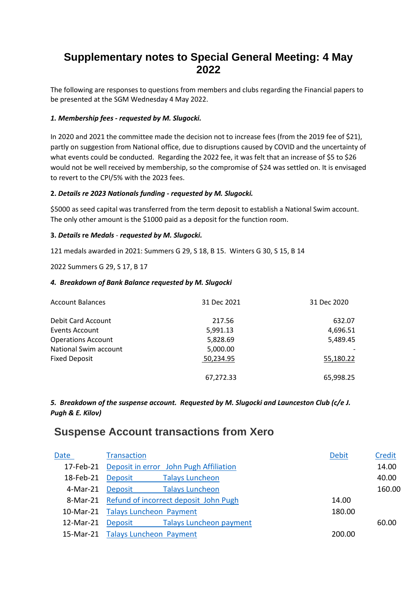# **Supplementary notes to Special General Meeting: 4 May 2022**

The following are responses to questions from members and clubs regarding the Financial papers to be presented at the SGM Wednesday 4 May 2022.

#### *1. Membership fees - requested by M. Slugocki.*

In 2020 and 2021 the committee made the decision not to increase fees (from the 2019 fee of \$21), partly on suggestion from National office, due to disruptions caused by COVID and the uncertainty of what events could be conducted. Regarding the 2022 fee, it was felt that an increase of \$5 to \$26 would not be well received by membership, so the compromise of \$24 was settled on. It is envisaged to revert to the CPI/5% with the 2023 fees.

#### **2.** *Details re 2023 Nationals funding* **-** *requested by M. Slugocki.*

\$5000 as seed capital was transferred from the term deposit to establish a National Swim account. The only other amount is the \$1000 paid as a deposit for the function room.

#### **3.** *Details* **re** *Medals* - *requested by M. Slugocki.*

121 medals awarded in 2021: Summers G 29, S 18, B 15. Winters G 30, S 15, B 14

2022 Summers G 29, S 17, B 17

#### *4. Breakdown of Bank Balance requested by M. Slugocki*

| <b>Account Balances</b>   | 31 Dec 2021 | 31 Dec 2020 |
|---------------------------|-------------|-------------|
| Debit Card Account        | 217.56      | 632.07      |
| Events Account            | 5,991.13    | 4,696.51    |
| <b>Operations Account</b> | 5,828.69    | 5,489.45    |
| National Swim account     | 5,000.00    |             |
| <b>Fixed Deposit</b>      | 50,234.95   | 55,180.22   |
|                           | 67,272.33   | 65,998.25   |

*5. Breakdown of the suspense account. Requested by M. Slugocki and Launceston Club (c/e J. Pugh & E. Kilov)*

## **Suspense Account transactions from Xero**

| Date      | <b>Transaction</b>                             |                                                  | <b>Debit</b> | Credit |
|-----------|------------------------------------------------|--------------------------------------------------|--------------|--------|
|           |                                                | 17-Feb-21 Deposit in error John Pugh Affiliation |              | 14.00  |
| 18-Feb-21 | Deposit                                        | <b>Talays Luncheon</b>                           |              | 40.00  |
| 4-Mar-21  |                                                | Deposit Talays Luncheon                          |              | 160.00 |
|           | 8-Mar-21 Refund of incorrect deposit John Pugh |                                                  | 14.00        |        |
|           | 10-Mar-21 Talays Luncheon Payment              |                                                  | 180.00       |        |
| 12-Mar-21 |                                                | Deposit Talays Luncheon payment                  |              | 60.00  |
|           | 15-Mar-21 Talays Luncheon Payment              |                                                  | 200.00       |        |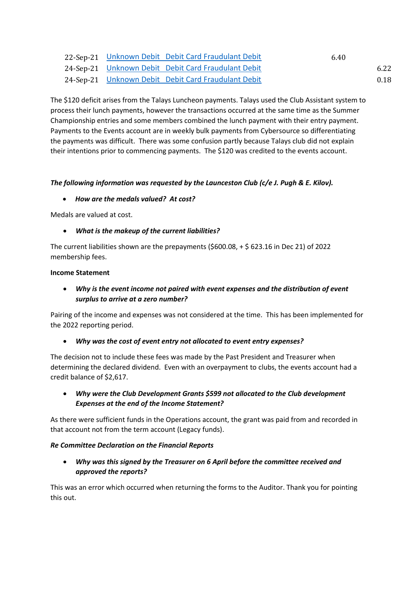|  | 22-Sep-21 Unknown Debit Debit Card Fraudulant Debit | 6.40 |
|--|-----------------------------------------------------|------|
|  | 24-Sep-21 Unknown Debit Debit Card Fraudulant Debit | 6.22 |
|  |                                                     |      |

24-Sep-21 [Unknown Debit Debit Card Fraudulant Debit](https://go.xero.com/GeneralLedger/ShowSubsidiary.aspx?eventID=c22ef169-b735-4b37-8066-a13ede592c6d&accountID=3452ba89-e4e5-4adf-b988-b8569821d0ca) 0.18 (0.18)

The \$120 deficit arises from the Talays Luncheon payments. Talays used the Club Assistant system to process their lunch payments, however the transactions occurred at the same time as the Summer Championship entries and some members combined the lunch payment with their entry payment. Payments to the Events account are in weekly bulk payments from Cybersource so differentiating the payments was difficult. There was some confusion partly because Talays club did not explain their intentions prior to commencing payments. The \$120 was credited to the events account.

## *The following information was requested by the Launceston Club (c/e J. Pugh & E. Kilov).*

## • *How are the medals valued? At cost?*

Medals are valued at cost.

## • *What is the makeup of the current liabilities?*

The current liabilities shown are the prepayments (\$600.08, + \$ 623.16 in Dec 21) of 2022 membership fees.

#### **Income Statement**

## • *Why is the event income not paired with event expenses and the distribution of event surplus to arrive at a zero number?*

Pairing of the income and expenses was not considered at the time. This has been implemented for the 2022 reporting period.

## • *Why was the cost of event entry not allocated to event entry expenses?*

The decision not to include these fees was made by the Past President and Treasurer when determining the declared dividend. Even with an overpayment to clubs, the events account had a credit balance of \$2,617.

• *Why were the Club Development Grants \$599 not allocated to the Club development Expenses at the end of the Income Statement?*

As there were sufficient funds in the Operations account, the grant was paid from and recorded in that account not from the term account (Legacy funds).

## *Re Committee Declaration on the Financial Reports*

• *Why was this signed by the Treasurer on 6 April before the committee received and approved the reports?*

This was an error which occurred when returning the forms to the Auditor. Thank you for pointing this out.